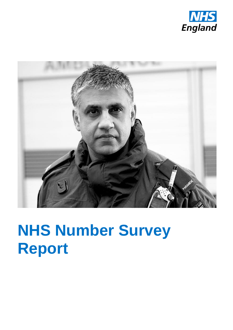



# **NHS Number Survey Report**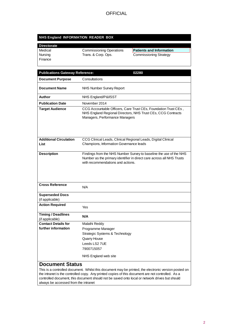## **NHS England INFORMATION READER BOX**

| <b>Directorate</b> |  |
|--------------------|--|
| Medical            |  |
|                    |  |

Finance

Nursing Trans. & Corp. Ops. Commissioning Strategy

**Commissioning Operations Patients and Information** 

| <b>Publications Gateway Reference:</b><br>02280 |                                                                                                                                                                                  |  |  |  |  |
|-------------------------------------------------|----------------------------------------------------------------------------------------------------------------------------------------------------------------------------------|--|--|--|--|
| <b>Document Purpose</b>                         | Consultations                                                                                                                                                                    |  |  |  |  |
| <b>Document Name</b>                            | NHS Number Survey Report                                                                                                                                                         |  |  |  |  |
| Author                                          | NHS England/P&VSST                                                                                                                                                               |  |  |  |  |
| <b>Publication Date</b>                         | November 2014                                                                                                                                                                    |  |  |  |  |
| <b>Target Audience</b>                          | CCG Accountable Officers, Care Trust CEs, Foundation Trust CEs,<br>NHS England Regional Directors, NHS Trust CEs, CCG Contracts<br>Managers, Performance Managers                |  |  |  |  |
| <b>Additional Circulation</b><br>List           | CCG Clinical Leads, Clinical Regional Leads, Digital Clinical<br>Champions, Information Governance leads                                                                         |  |  |  |  |
| <b>Description</b>                              | Findings from the NHS Number Survey to baseline the use of the NHS<br>Number as the primary identifier in direct care across all NHS Trusts<br>with recommendations and actions. |  |  |  |  |
| <b>Cross Reference</b>                          | N/A                                                                                                                                                                              |  |  |  |  |
| <b>Superseded Docs</b>                          |                                                                                                                                                                                  |  |  |  |  |
| (if applicable)<br><b>Action Required</b>       | Yes                                                                                                                                                                              |  |  |  |  |
| <b>Timing / Deadlines</b><br>(if applicable)    | N/A                                                                                                                                                                              |  |  |  |  |
| <b>Contact Details for</b>                      | Malathi Reddy                                                                                                                                                                    |  |  |  |  |
| further information                             | Programme Manager<br>Strategic Systems & Technology<br>Quarry House<br>Leeds LS2 7UE<br>7900715057                                                                               |  |  |  |  |
|                                                 | NHS England web site                                                                                                                                                             |  |  |  |  |
|                                                 | <b>Document Status</b>                                                                                                                                                           |  |  |  |  |

This is a controlled document. Whilst this document may be printed, the electronic version posted on the intranet is the controlled copy. Any printed copies of this document are not controlled. As a controlled document, this document should not be saved onto local or network drives but should always be accessed from the intranet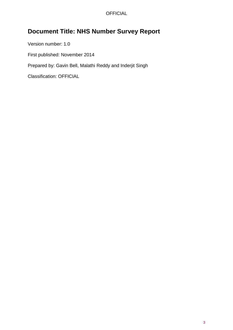# **Document Title: NHS Number Survey Report**

Version number: 1.0 First published: November 2014 Prepared by: Gavin Bell, Malathi Reddy and Inderjit Singh Classification: OFFICIAL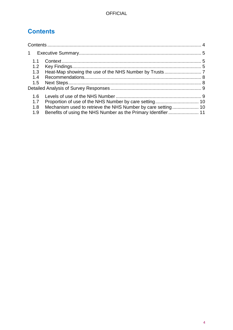# <span id="page-3-0"></span>**Contents**

| $\mathbf{1}$ |  |
|--------------|--|
| 1.1          |  |
| 1.2          |  |
| 1.3          |  |
| 1.4          |  |
|              |  |
|              |  |
| 1.6          |  |
| 1.7          |  |
| 1.8          |  |
| 1.9          |  |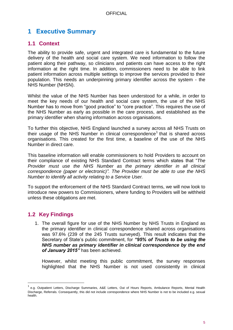## <span id="page-4-0"></span>**1 Executive Summary**

## <span id="page-4-1"></span>**1.1 Context**

The ability to provide safe, urgent and integrated care is fundamental to the future delivery of the health and social care system. We need information to follow the patient along their pathway, so clinicians and patients can have access to the right information at the right time. In addition, commissioners need to be able to link patient information across multiple settings to improve the services provided to their population. This needs an underpinning primary identifier across the system - the NHS Number (NHSN).

Whilst the value of the NHS Number has been understood for a while, in order to meet the key needs of our health and social care system, the use of the NHS Number has to move from "good practice" to "core practice". This requires the use of the NHS Number as early as possible in the care process, and established as the primary identifier when sharing information across organisations.

To further this objective, NHS England launched a survey across all NHS Trusts on their usage of the NHS Number in clinical correspondence<sup>1</sup> that is shared across organisations. This created for the first time, a baseline of the use of the NHS Number in direct care.

This baseline information will enable commissioners to hold Providers to account on their compliance of existing NHS Standard Contract terms which states that "*The Provider must use the NHS Number as the primary identifier in all clinical correspondence (paper or electronic)". The Provider must be able to use the NHS Number to identify all activity relating to a Service User.*

To support the enforcement of the NHS Standard Contract terms, we will now look to introduce new powers to Commissioners, where funding to Providers will be withheld unless these obligations are met.

## <span id="page-4-2"></span>**1.2 Key Findings**

l

1. The overall figure for use of the NHS Number by NHS Trusts in England as the primary identifier in clinical correspondence shared across organisations was 97.6% (239 of the 245 Trusts surveyed). This result indicates that the Secretary of State's public commitment, for *"95% of Trusts to be using the NHS number as primary identifier in clinical correspondence by the end of January 2015"* has been achieved.

However, whilst meeting this public commitment, the survey responses highlighted that the NHS Number is not used consistently in clinical

<sup>1</sup> e.g. Outpatient Letters, Discharge Summaries, A&E Letters, Out of Hours Reports, Ambulance Reports, Mental Health Discharge, Referrals. Consequently, this did not include correspondence where NHS Number is not to be included e.g. sexual health.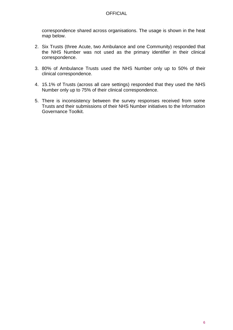correspondence shared across organisations. The usage is shown in the heat map below.

- 2. Six Trusts (three Acute, two Ambulance and one Community) responded that the NHS Number was not used as the primary identifier in their clinical correspondence.
- 3. 80% of Ambulance Trusts used the NHS Number only up to 50% of their clinical correspondence.
- 4. 15.1% of Trusts (across all care settings) responded that they used the NHS Number only up to 75% of their clinical correspondence.
- 5. There is inconsistency between the survey responses received from some Trusts and their submissions of their NHS Number initiatives to the Information Governance Toolkit.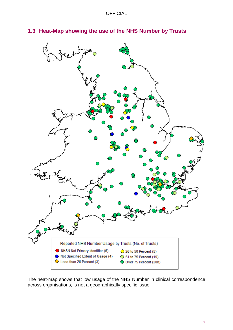

## <span id="page-6-0"></span>**1.3 Heat-Map showing the use of the NHS Number by Trusts**

The heat-map shows that low usage of the NHS Number in clinical correspondence across organisations, is not a geographically specific issue.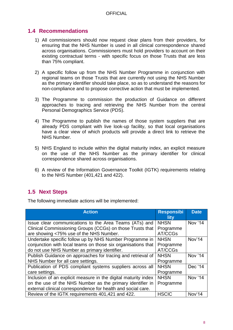## <span id="page-7-0"></span>**1.4 Recommendations**

- 1) All commissioners should now request clear plans from their providers, for ensuring that the NHS Number is used in all clinical correspondence shared across organisations. Commissioners must hold providers to account on their existing contractual terms - with specific focus on those Trusts that are less than 75% compliant.
- 2) A specific follow up from the NHS Number Programme in conjunction with regional teams on those Trusts that are currently not using the NHS Number as the primary identifier should take place, so as to understand the reasons for non-compliance and to propose corrective action that must be implemented.
- 3) The Programme to commission the production of Guidance on different approaches to tracing and retrieving the NHS Number from the central Personal Demographics Service (PDS).
- 4) The Programme to publish the names of those system suppliers that are already PDS compliant with live look-up facility, so that local organisations have a clear view of which products will provide a direct link to retrieve the NHS Number.
- 5) NHS England to include within the digital maturity index, an explicit measure on the use of the NHS Number as the primary identifier for clinical correspondence shared across organisations.
- 6) A review of the Information Governance Toolkit (IGTK) requirements relating to the NHS Number (401,421 and 422).

## <span id="page-7-1"></span>**1.5 Next Steps**

The following immediate actions will be implemented:

| <b>Action</b>                                                  | <b>Responsibi</b><br>lity | <b>Date</b> |
|----------------------------------------------------------------|---------------------------|-------------|
| Issue clear communications to the Area Teams (ATs) and         | <b>NHSN</b>               | Nov '14     |
| Clinical Commissioning Groups (CCGs) on those Trusts that      | Programme                 |             |
| are showing <75% use of the NHS Number.                        | AT/CCGs                   |             |
| Undertake specific follow up by NHS Number Programme in        | <b>NHSN</b>               | Nov'14      |
| conjunction with local teams on those six organisations that   | Programme                 |             |
| do not use NHS Number as primary identifier.                   | AT/CCGs                   |             |
| Publish Guidance on approaches for tracing and retrieval of    | <b>NHSN</b>               | Nov '14     |
| NHS Number for all care settings.                              | Programme                 |             |
| Publication of PDS compliant systems suppliers across all      | <b>NHSN</b>               | Dec '14     |
| care settings.                                                 | Programme                 |             |
| Inclusion of an explicit measure in the digital maturity index | <b>NHSN</b>               | Nov '14     |
| on the use of the NHS Number as the primary identifier in      | Programme                 |             |
| external clinical correspondence for health and social care.   |                           |             |
| Review of the IGTK requirements 401,421 and 422.               | <b>HSCIC</b>              | Nov'14      |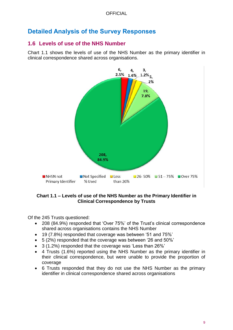# <span id="page-8-0"></span>**Detailed Analysis of the Survey Responses**

## <span id="page-8-1"></span>**1.6 Levels of use of the NHS Number**

Chart 1.1 shows the levels of use of the NHS Number as the primary identifier in clinical correspondence shared across organisations.



#### **Chart 1.1 – Levels of use of the NHS Number as the Primary Identifier in Clinical Correspondence by Trusts**

Of the 245 Trusts questioned:

- 208 (84.9%) responded that 'Over 75%' of the Trust's clinical correspondence shared across organisations contains the NHS Number
- 19 (7.8%) responded that coverage was between '51 and 75%'
- 5 (2%) responded that the coverage was between '26 and 50%'
- 3 (1.2%) responded that the coverage was 'Less than 26%'
- 4 Trusts (1.6%) reported using the NHS Number as the primary identifier in their clinical correspondence, but were unable to provide the proportion of coverage
- 6 Trusts responded that they do not use the NHS Number as the primary identifier in clinical correspondence shared across organisations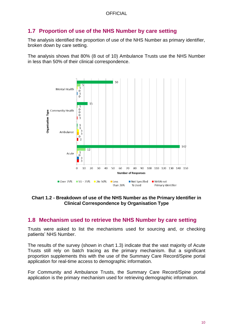## <span id="page-9-0"></span>**1.7 Proportion of use of the NHS Number by care setting**

The analysis identified the proportion of use of the NHS Number as primary identifier, broken down by care setting.

The analysis shows that 80% (8 out of 10) Ambulance Trusts use the NHS Number in less than 50% of their clinical correspondence.



**Chart 1.2 - Breakdown of use of the NHS Number as the Primary Identifier in Clinical Correspondence by Organisation Type**

#### <span id="page-9-1"></span>**1.8 Mechanism used to retrieve the NHS Number by care setting**

Trusts were asked to list the mechanisms used for sourcing and, or checking patients' NHS Number.

The results of the survey (shown in chart 1.3) indicate that the vast majority of Acute Trusts still rely on batch tracing as the primary mechanism. But a significant proportion supplements this with the use of the Summary Care Record/Spine portal application for real-time access to demographic information.

For Community and Ambulance Trusts, the Summary Care Record/Spine portal application is the primary mechanism used for retrieving demographic information.